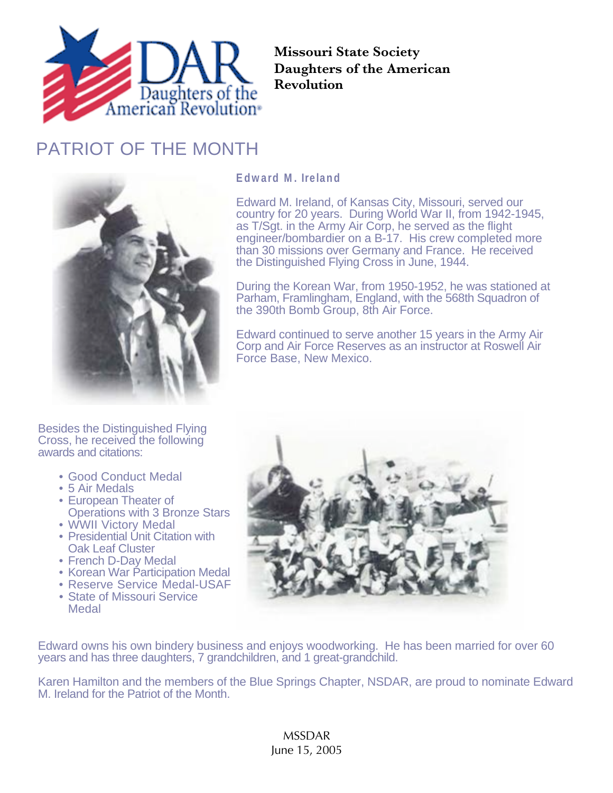

**Missouri State Society Daughters of the American Revolution**

## PATRIOT OF THE MONTH



## **Edward M. Ireland**

Edward M. Ireland, of Kansas City, Missouri, served our country for 20 years. During World War II, from 1942-1945, as T/Sgt. in the Army Air Corp, he served as the flight engineer/bombardier on a B-17. His crew completed more than 30 missions over Germany and France. He received the Distinguished Flying Cross in June, 1944.

During the Korean War, from 1950-1952, he was stationed at Parham, Framlingham, England, with the 568th Squadron of the 390th Bomb Group, 8th Air Force.

Edward continued to serve another 15 years in the Army Air Corp and Air Force Reserves as an instructor at Roswell Air Force Base, New Mexico.

Besides the Distinguished Flying Cross, he received the following awards and citations:

- Good Conduct Medal
- 5 Air Medals
- European Theater of Operations with 3 Bronze Stars
- WWII Victory Medal
- Presidential Unit Citation with Oak Leaf Cluster
- French D-Day Medal
- Korean War Participation Medal
- Reserve Service Medal-USAF
- State of Missouri Service Medal



Edward owns his own bindery business and enjoys woodworking. He has been married for over 60 years and has three daughters, 7 grandchildren, and 1 great-grandchild.

Karen Hamilton and the members of the Blue Springs Chapter, NSDAR, are proud to nominate Edward M. Ireland for the Patriot of the Month.